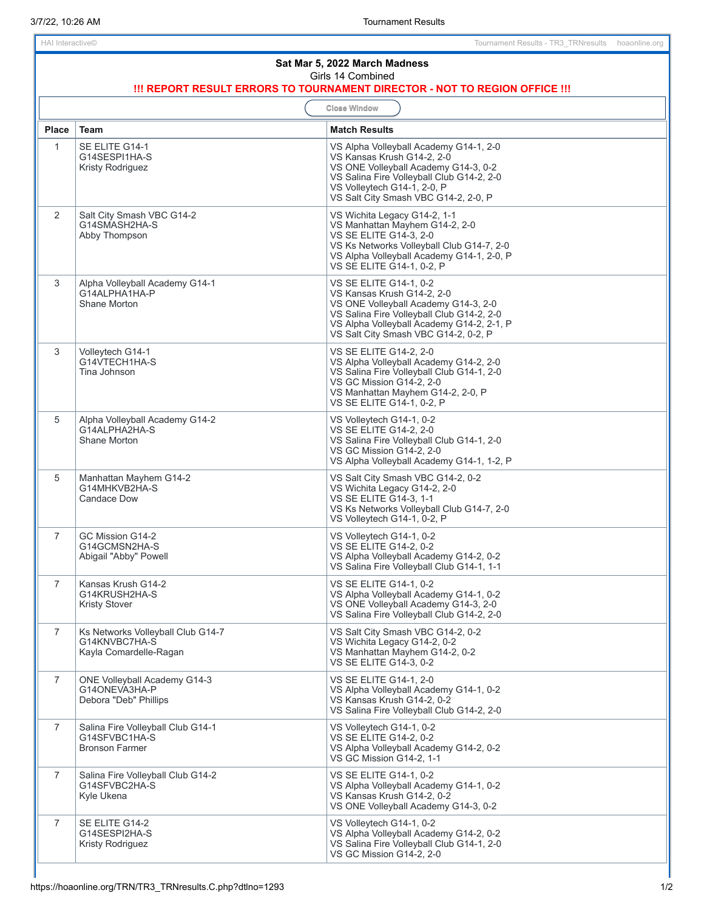| Sat Mar 5, 2022 March Madness<br>Girls 14 Combined<br>!!! REPORT RESULT ERRORS TO TOURNAMENT DIRECTOR - NOT TO REGION OFFICE !!! |                                                                               |                                                                                                                                                                                                                                  |  |
|----------------------------------------------------------------------------------------------------------------------------------|-------------------------------------------------------------------------------|----------------------------------------------------------------------------------------------------------------------------------------------------------------------------------------------------------------------------------|--|
| <b>Close Window</b>                                                                                                              |                                                                               |                                                                                                                                                                                                                                  |  |
| <b>Place</b>                                                                                                                     | <b>Team</b>                                                                   | <b>Match Results</b>                                                                                                                                                                                                             |  |
| $\mathbf{1}$                                                                                                                     | SE ELITE G14-1<br>G14SESPI1HA-S<br>Kristy Rodriguez                           | VS Alpha Volleyball Academy G14-1, 2-0<br>VS Kansas Krush G14-2, 2-0<br>VS ONE Volleyball Academy G14-3, 0-2<br>VS Salina Fire Volleyball Club G14-2, 2-0<br>VS Volleytech G14-1, 2-0, P<br>VS Salt City Smash VBC G14-2, 2-0, P |  |
| $\overline{2}$                                                                                                                   | Salt City Smash VBC G14-2<br>G14SMASH2HA-S<br>Abby Thompson                   | VS Wichita Legacy G14-2, 1-1<br>VS Manhattan Mayhem G14-2, 2-0<br>VS SE ELITE G14-3, 2-0<br>VS Ks Networks Volleyball Club G14-7, 2-0<br>VS Alpha Volleyball Academy G14-1, 2-0, P<br>VS SE ELITE G14-1, 0-2, P                  |  |
| 3                                                                                                                                | Alpha Volleyball Academy G14-1<br>G14ALPHA1HA-P<br>Shane Morton               | VS SE ELITE G14-1, 0-2<br>VS Kansas Krush G14-2, 2-0<br>VS ONE Volleyball Academy G14-3, 2-0<br>VS Salina Fire Volleyball Club G14-2, 2-0<br>VS Alpha Volleyball Academy G14-2, 2-1, P<br>VS Salt City Smash VBC G14-2, 0-2, P   |  |
| 3                                                                                                                                | Volleytech G14-1<br>G14VTECH1HA-S<br>Tina Johnson                             | VS SE ELITE G14-2, 2-0<br>VS Alpha Volleyball Academy G14-2, 2-0<br>VS Salina Fire Volleyball Club G14-1, 2-0<br>VS GC Mission G14-2, 2-0<br>VS Manhattan Mayhem G14-2, 2-0, P<br>VS SE ELITE G14-1, 0-2, P                      |  |
| 5                                                                                                                                | Alpha Volleyball Academy G14-2<br>G14ALPHA2HA-S<br>Shane Morton               | VS Volleytech G14-1, 0-2<br>VS SE ELITE G14-2, 2-0<br>VS Salina Fire Volleyball Club G14-1, 2-0<br>VS GC Mission G14-2, 2-0<br>VS Alpha Volleyball Academy G14-1, 1-2, P                                                         |  |
| 5                                                                                                                                | Manhattan Mayhem G14-2<br>G14MHKVB2HA-S<br><b>Candace Dow</b>                 | VS Salt City Smash VBC G14-2, 0-2<br>VS Wichita Legacy G14-2, 2-0<br>VS SE ELITE G14-3, 1-1<br>VS Ks Networks Volleyball Club G14-7, 2-0<br>VS Volleytech G14-1, 0-2, P                                                          |  |
| $\overline{7}$                                                                                                                   | GC Mission G14-2<br>G14GCMSN2HA-S<br>Abigail "Abby" Powell                    | VS Volleytech G14-1, 0-2<br>VS SE ELITE G14-2, 0-2<br>VS Alpha Volleyball Academy G14-2, 0-2<br>VS Salina Fire Volleyball Club G14-1, 1-1                                                                                        |  |
| 7                                                                                                                                | Kansas Krush G14-2<br>G14KRUSH2HA-S<br><b>Kristy Stover</b>                   | VS SE ELITE G14-1, 0-2<br>VS Alpha Volleyball Academy G14-1, 0-2<br>VS ONE Volleyball Academy G14-3, 2-0<br>VS Salina Fire Volleyball Club G14-2, 2-0                                                                            |  |
| $\overline{7}$                                                                                                                   | Ks Networks Volleyball Club G14-7<br>G14KNVBC7HA-S<br>Kayla Comardelle-Ragan  | VS Salt City Smash VBC G14-2, 0-2<br>VS Wichita Legacy G14-2, 0-2<br>VS Manhattan Mayhem G14-2, 0-2<br>VS SE ELITE G14-3, 0-2                                                                                                    |  |
| $\overline{7}$                                                                                                                   | <b>ONE Volleyball Academy G14-3</b><br>G14ONEVA3HA-P<br>Debora "Deb" Phillips | VS SE ELITE G14-1, 2-0<br>VS Alpha Volleyball Academy G14-1, 0-2<br>VS Kansas Krush G14-2, 0-2<br>VS Salina Fire Volleyball Club G14-2, 2-0                                                                                      |  |
| $\overline{7}$                                                                                                                   | Salina Fire Volleyball Club G14-1<br>G14SFVBC1HA-S<br><b>Bronson Farmer</b>   | VS Volleytech G14-1, 0-2<br>VS SE ELITE G14-2, 0-2<br>VS Alpha Volleyball Academy G14-2, 0-2<br>VS GC Mission G14-2, 1-1                                                                                                         |  |
| $\overline{7}$                                                                                                                   | Salina Fire Volleyball Club G14-2<br>G14SFVBC2HA-S<br>Kyle Ukena              | VS SE ELITE G14-1, 0-2<br>VS Alpha Volleyball Academy G14-1, 0-2<br>VS Kansas Krush G14-2, 0-2<br>VS ONE Volleyball Academy G14-3, 0-2                                                                                           |  |
| $\overline{7}$                                                                                                                   | SE ELITE G14-2<br>G14SESPI2HA-S<br>Kristy Rodriguez                           | VS Volleytech G14-1, 0-2<br>VS Alpha Volleyball Academy G14-2, 0-2<br>VS Salina Fire Volleyball Club G14-1, 2-0<br>VS GC Mission G14-2, 2-0                                                                                      |  |

I